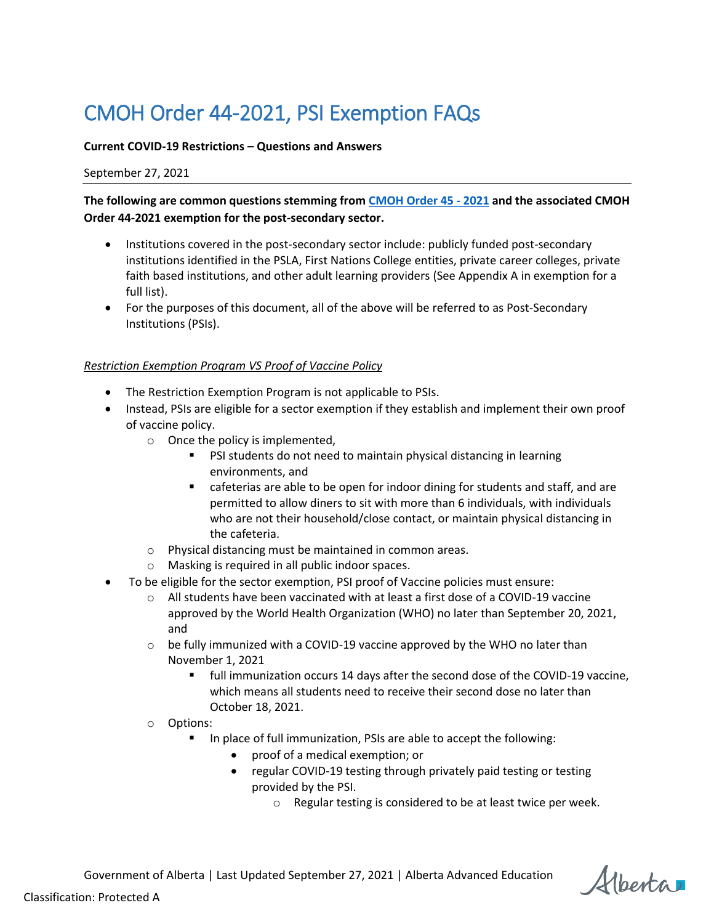# CMOH Order 44-2021, PSI Exemption FAQs

#### **Current COVID-19 Restrictions – Questions and Answers**

#### September 27, 2021

**The following are common questions stemming from [CMOH Order 45 -](https://open.alberta.ca/publications/cmoh-order-45-2021) 2021 and the associated [CMOH](https://open.alberta.ca/publications/cmoh-order-44-2021)  [Order 44-2021](https://open.alberta.ca/publications/cmoh-order-44-2021) exemption for the post-secondary sector.**

- Institutions covered in the post-secondary sector include: publicly funded post-secondary institutions identified in the PSLA, First Nations College entities, private career colleges, private faith based institutions, and other adult learning providers (See Appendix A in exemption for a full list).
- For the purposes of this document, all of the above will be referred to as Post-Secondary Institutions (PSIs).

#### *Restriction Exemption Program VS Proof of Vaccine Policy*

- The Restriction Exemption Program is not applicable to PSIs.
- Instead, PSIs are eligible for a sector exemption if they establish and implement their own proof of vaccine policy.
	- $\circ$  Once the policy is implemented,
		- **PSI students do not need to maintain physical distancing in learning** environments, and
		- cafeterias are able to be open for indoor dining for students and staff, and are permitted to allow diners to sit with more than 6 individuals, with individuals who are not their household/close contact, or maintain physical distancing in the cafeteria.
	- o Physical distancing must be maintained in common areas.
	- o Masking is required in all public indoor spaces.
- To be eligible for the sector exemption, PSI proof of Vaccine policies must ensure:
	- $\circ$  All students have been vaccinated with at least a first dose of a COVID-19 vaccine approved by the World Health Organization (WHO) no later than September 20, 2021, and
	- $\circ$  be fully immunized with a COVID-19 vaccine approved by the WHO no later than November 1, 2021
		- full immunization occurs 14 days after the second dose of the COVID-19 vaccine, which means all students need to receive their second dose no later than October 18, 2021.
	- o Options:
		- In place of full immunization, PSIs are able to accept the following:
			- proof of a medical exemption; or
			- regular COVID-19 testing through privately paid testing or testing provided by the PSI.
				- o Regular testing is considered to be at least twice per week.

Alberta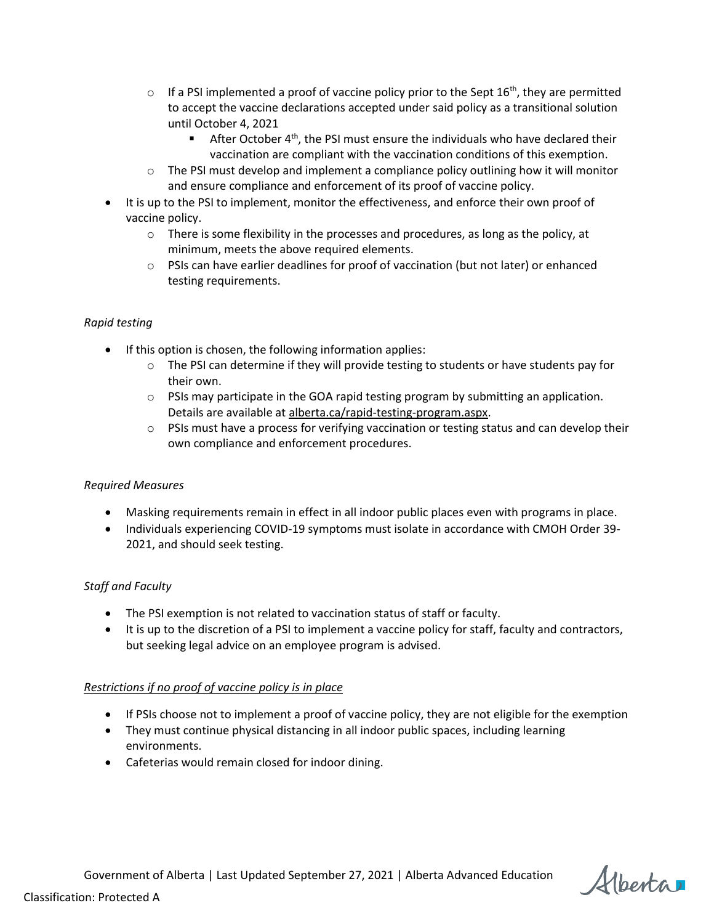- $\circ$  If a PSI implemented a proof of vaccine policy prior to the Sept 16<sup>th</sup>, they are permitted to accept the vaccine declarations accepted under said policy as a transitional solution until October 4, 2021
	- **After October 4<sup>th</sup>, the PSI must ensure the individuals who have declared their** vaccination are compliant with the vaccination conditions of this exemption.
- $\circ$  The PSI must develop and implement a compliance policy outlining how it will monitor and ensure compliance and enforcement of its proof of vaccine policy.
- It is up to the PSI to implement, monitor the effectiveness, and enforce their own proof of vaccine policy.
	- $\circ$  There is some flexibility in the processes and procedures, as long as the policy, at minimum, meets the above required elements.
	- $\circ$  PSIs can have earlier deadlines for proof of vaccination (but not later) or enhanced testing requirements.

#### *Rapid testing*

- If this option is chosen, the following information applies:
	- $\circ$  The PSI can determine if they will provide testing to students or have students pay for their own.
	- $\circ$  PSIs may participate in the GOA rapid testing program by submitting an application. Details are available a[t alberta.ca/rapid-testing-program.aspx.](https://www.alberta.ca/rapid-testing-program.aspx)
	- $\circ$  PSIs must have a process for verifying vaccination or testing status and can develop their own compliance and enforcement procedures.

# *Required Measures*

- Masking requirements remain in effect in all indoor public places even with programs in place.
- Individuals experiencing COVID-19 symptoms must isolate in accordance with CMOH Order 39-2021, and should seek testing.

# *Staff and Faculty*

- The PSI exemption is not related to vaccination status of staff or faculty.
- It is up to the discretion of a PSI to implement a vaccine policy for staff, faculty and contractors, but seeking legal advice on an employee program is advised.

# *Restrictions if no proof of vaccine policy is in place*

- If PSIs choose not to implement a proof of vaccine policy, they are not eligible for the exemption
- They must continue physical distancing in all indoor public spaces, including learning environments.
- Cafeterias would remain closed for indoor dining.

Alberta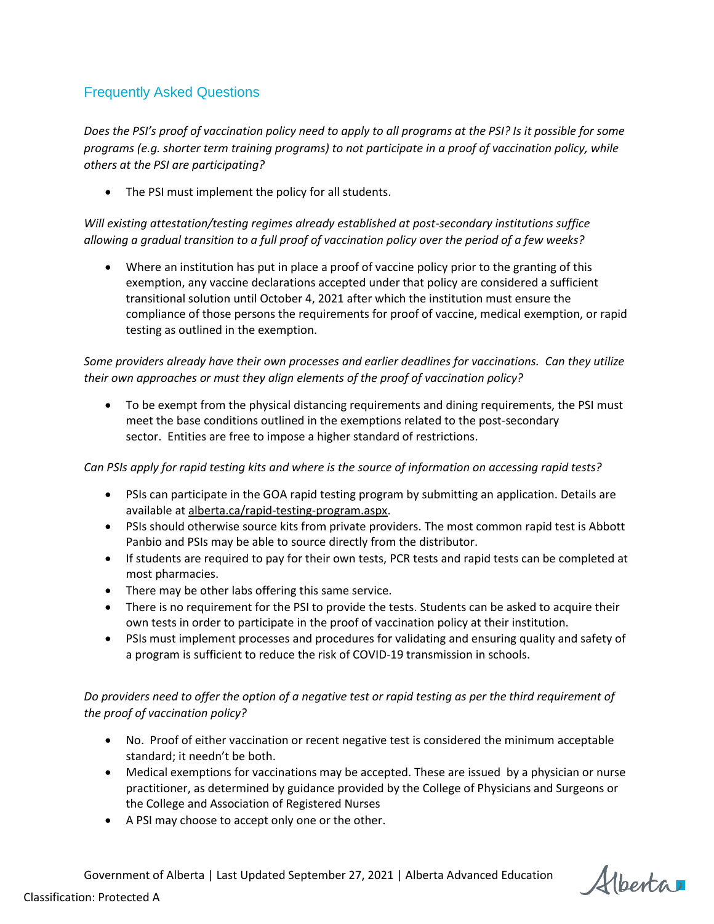# Frequently Asked Questions

*Does the PSI's proof of vaccination policy need to apply to all programs at the PSI? Is it possible for some programs (e.g. shorter term training programs) to not participate in a proof of vaccination policy, while others at the PSI are participating?*

• The PSI must implement the policy for all students.

*Will existing attestation/testing regimes already established at post-secondary institutions suffice allowing a gradual transition to a full proof of vaccination policy over the period of a few weeks?*

 Where an institution has put in place a proof of vaccine policy prior to the granting of this exemption, any vaccine declarations accepted under that policy are considered a sufficient transitional solution until October 4, 2021 after which the institution must ensure the compliance of those persons the requirements for proof of vaccine, medical exemption, or rapid testing as outlined in the exemption.

# *Some providers already have their own processes and earlier deadlines for vaccinations. Can they utilize their own approaches or must they align elements of the proof of vaccination policy?*

 To be exempt from the physical distancing requirements and dining requirements, the PSI must meet the base conditions outlined in the exemptions related to the post-secondary sector. Entities are free to impose a higher standard of restrictions.

# *Can PSIs apply for rapid testing kits and where is the source of information on accessing rapid tests?*

- PSIs can participate in the GOA rapid testing program by submitting an application. Details are available a[t alberta.ca/rapid-testing-program.aspx.](https://www.alberta.ca/rapid-testing-program.aspx)
- PSIs should otherwise source kits from private providers. The most common rapid test is Abbott Panbio and PSIs may be able to source directly from the distributor.
- If students are required to pay for their own tests, PCR tests and rapid tests can be completed at most pharmacies.
- There may be other labs offering this same service.
- There is no requirement for the PSI to provide the tests. Students can be asked to acquire their own tests in order to participate in the proof of vaccination policy at their institution.
- PSIs must implement processes and procedures for validating and ensuring quality and safety of a program is sufficient to reduce the risk of COVID-19 transmission in schools.

# *Do providers need to offer the option of a negative test or rapid testing as per the third requirement of the proof of vaccination policy?*

- No. Proof of either vaccination or recent negative test is considered the minimum acceptable standard; it needn't be both.
- Medical exemptions for vaccinations may be accepted. These are issued by a physician or nurse practitioner, as determined by guidance provided by the College of Physicians and Surgeons or the College and Association of Registered Nurses
- A PSI may choose to accept only one or the other.

Alberta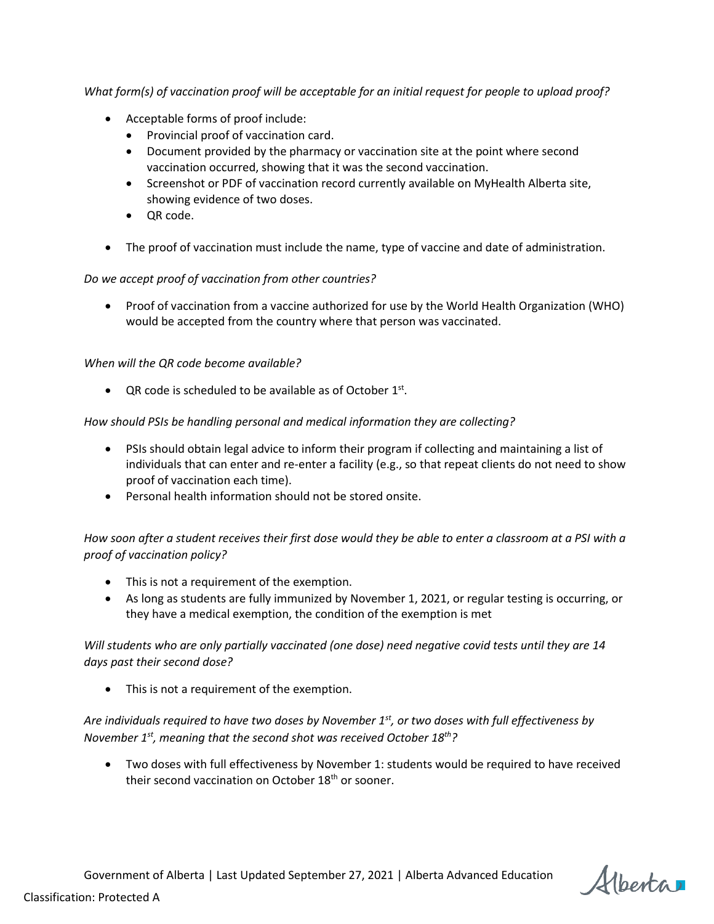*What form(s) of vaccination proof will be acceptable for an initial request for people to upload proof?*

- Acceptable forms of proof include:
	- Provincial proof of vaccination card.
	- Document provided by the pharmacy or vaccination site at the point where second vaccination occurred, showing that it was the second vaccination.
	- Screenshot or PDF of vaccination record currently available on MyHealth Alberta site, showing evidence of two doses.
	- QR code.
- The proof of vaccination must include the name, type of vaccine and date of administration.

# *Do we accept proof of vaccination from other countries?*

 Proof of vaccination from a vaccine authorized for use by the World Health Organization (WHO) would be accepted from the country where that person was vaccinated.

# *When will the QR code become available?*

• QR code is scheduled to be available as of October  $1<sup>st</sup>$ .

#### *How should PSIs be handling personal and medical information they are collecting?*

- PSIs should obtain legal advice to inform their program if collecting and maintaining a list of individuals that can enter and re-enter a facility (e.g., so that repeat clients do not need to show proof of vaccination each time).
- Personal health information should not be stored onsite.

*How soon after a student receives their first dose would they be able to enter a classroom at a PSI with a proof of vaccination policy?*

- This is not a requirement of the exemption.
- As long as students are fully immunized by November 1, 2021, or regular testing is occurring, or they have a medical exemption, the condition of the exemption is met

# *Will students who are only partially vaccinated (one dose) need negative covid tests until they are 14 days past their second dose?*

This is not a requirement of the exemption.

# *Are individuals required to have two doses by November 1st, or two doses with full effectiveness by November 1st, meaning that the second shot was received October 18th?*

 Two doses with full effectiveness by November 1: students would be required to have received their second vaccination on October 18<sup>th</sup> or sooner.

Alberta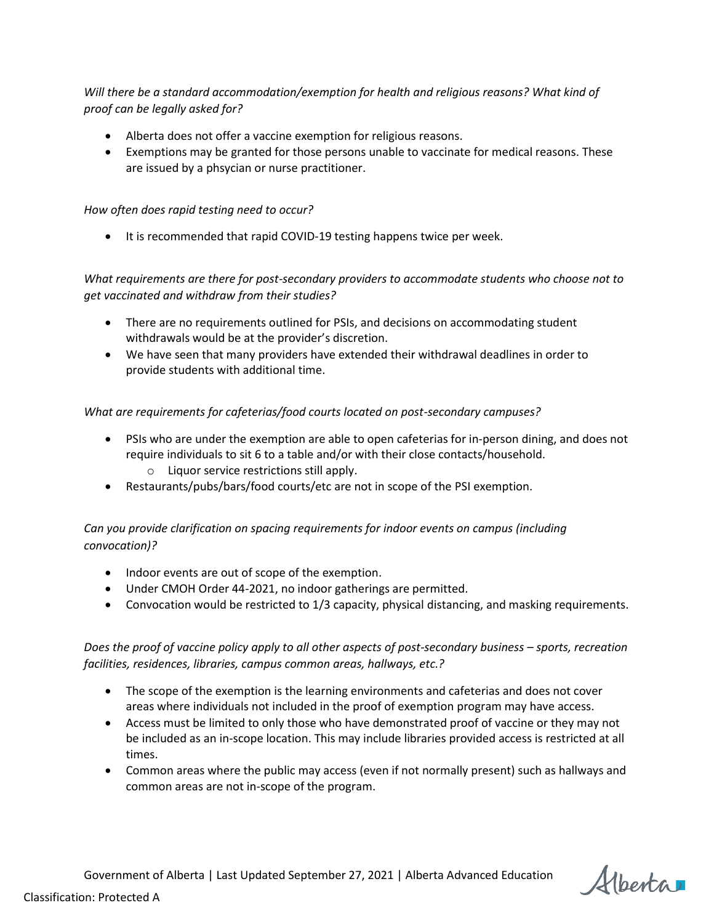*Will there be a standard accommodation/exemption for health and religious reasons? What kind of proof can be legally asked for?* 

- Alberta does not offer a vaccine exemption for religious reasons.
- Exemptions may be granted for those persons unable to vaccinate for medical reasons. These are issued by a phsycian or nurse practitioner.

#### *How often does rapid testing need to occur?*

• It is recommended that rapid COVID-19 testing happens twice per week.

# *What requirements are there for post-secondary providers to accommodate students who choose not to get vaccinated and withdraw from their studies?*

- There are no requirements outlined for PSIs, and decisions on accommodating student withdrawals would be at the provider's discretion.
- We have seen that many providers have extended their withdrawal deadlines in order to provide students with additional time.

#### *What are requirements for cafeterias/food courts located on post-secondary campuses?*

- PSIs who are under the exemption are able to open cafeterias for in-person dining, and does not require individuals to sit 6 to a table and/or with their close contacts/household.
	- o Liquor service restrictions still apply.
- Restaurants/pubs/bars/food courts/etc are not in scope of the PSI exemption.

# *Can you provide clarification on spacing requirements for indoor events on campus (including convocation)?*

- Indoor events are out of scope of the exemption.
- Under CMOH Order 44-2021, no indoor gatherings are permitted.
- Convocation would be restricted to 1/3 capacity, physical distancing, and masking requirements.

# *Does the proof of vaccine policy apply to all other aspects of post-secondary business – sports, recreation facilities, residences, libraries, campus common areas, hallways, etc.?*

- The scope of the exemption is the learning environments and cafeterias and does not cover areas where individuals not included in the proof of exemption program may have access.
- Access must be limited to only those who have demonstrated proof of vaccine or they may not be included as an in-scope location. This may include libraries provided access is restricted at all times.
- Common areas where the public may access (even if not normally present) such as hallways and common areas are not in-scope of the program.

Alberta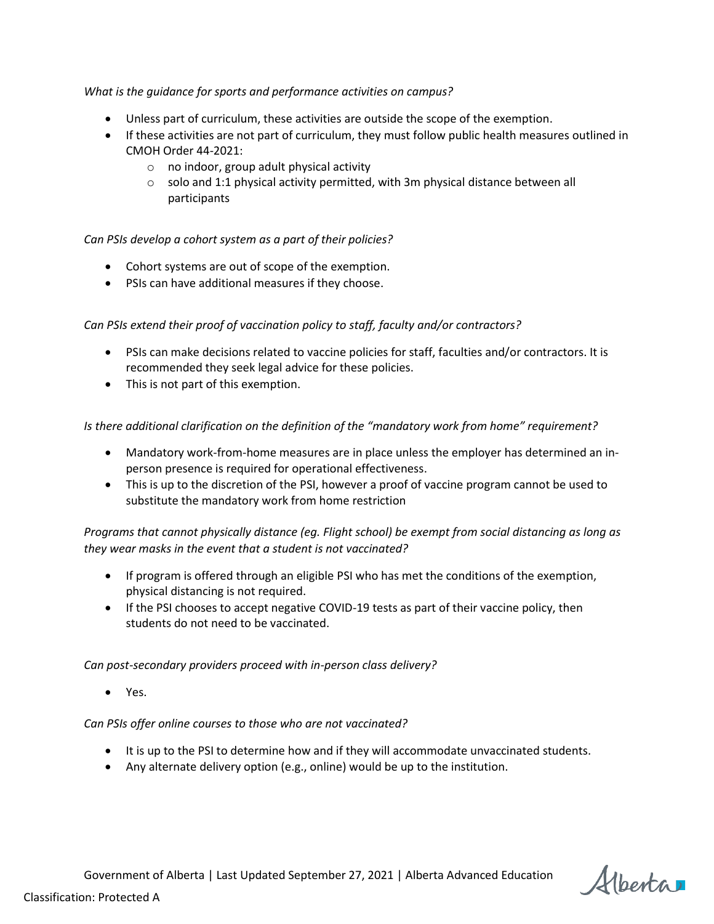#### *What is the guidance for sports and performance activities on campus?*

- Unless part of curriculum, these activities are outside the scope of the exemption.
- If these activities are not part of curriculum, they must follow public health measures outlined in CMOH Order 44-2021:
	- o no indoor, group adult physical activity
	- $\circ$  solo and 1:1 physical activity permitted, with 3m physical distance between all participants

#### *Can PSIs develop a cohort system as a part of their policies?*

- Cohort systems are out of scope of the exemption.
- PSIs can have additional measures if they choose.

#### *Can PSIs extend their proof of vaccination policy to staff, faculty and/or contractors?*

- PSIs can make decisions related to vaccine policies for staff, faculties and/or contractors. It is recommended they seek legal advice for these policies.
- This is not part of this exemption.

#### *Is there additional clarification on the definition of the "mandatory work from home" requirement?*

- Mandatory work-from-home measures are in place unless the employer has determined an inperson presence is required for operational effectiveness.
- This is up to the discretion of the PSI, however a proof of vaccine program cannot be used to substitute the mandatory work from home restriction

# *Programs that cannot physically distance (eg. Flight school) be exempt from social distancing as long as they wear masks in the event that a student is not vaccinated?*

- If program is offered through an eligible PSI who has met the conditions of the exemption, physical distancing is not required.
- If the PSI chooses to accept negative COVID-19 tests as part of their vaccine policy, then students do not need to be vaccinated.

#### *Can post-secondary providers proceed with in-person class delivery?*

Yes.

#### *Can PSIs offer online courses to those who are not vaccinated?*

- It is up to the PSI to determine how and if they will accommodate unvaccinated students.
- Any alternate delivery option (e.g., online) would be up to the institution.

Alberta